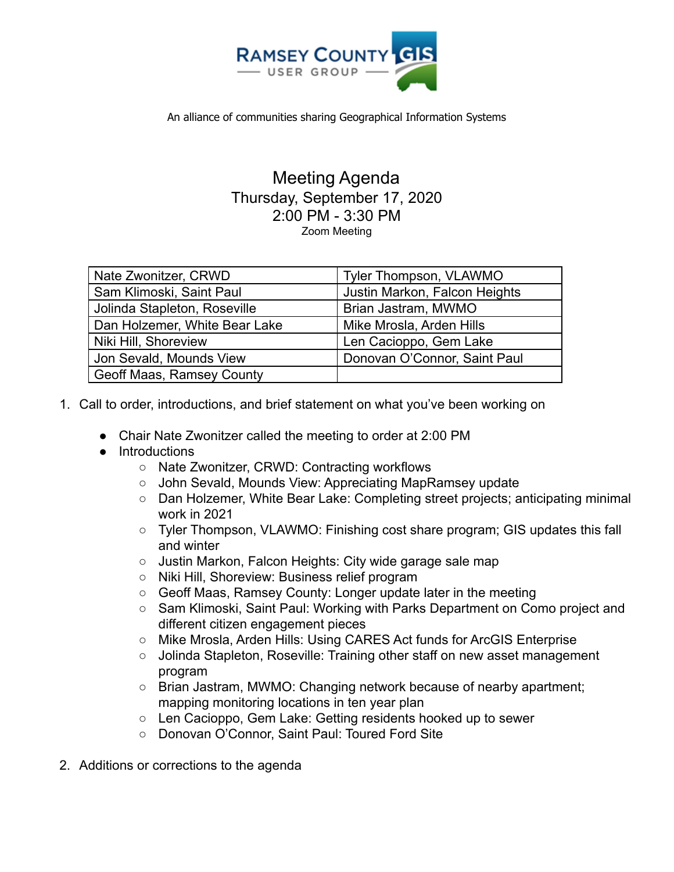

An alliance of communities sharing Geographical Information Systems

## Meeting Agenda Thursday, September 17, 2020 2:00 PM - 3:30 PM Zoom Meeting

| Nate Zwonitzer, CRWD             | Tyler Thompson, VLAWMO        |
|----------------------------------|-------------------------------|
| Sam Klimoski, Saint Paul         | Justin Markon, Falcon Heights |
| Jolinda Stapleton, Roseville     | Brian Jastram, MWMO           |
| Dan Holzemer, White Bear Lake    | Mike Mrosla, Arden Hills      |
| Niki Hill, Shoreview             | Len Cacioppo, Gem Lake        |
| Jon Sevald, Mounds View          | Donovan O'Connor, Saint Paul  |
| <b>Geoff Maas, Ramsey County</b> |                               |

- 1. Call to order, introductions, and brief statement on what you've been working on
	- Chair Nate Zwonitzer called the meeting to order at 2:00 PM
	- Introductions
		- Nate Zwonitzer, CRWD: Contracting workflows
		- John Sevald, Mounds View: Appreciating MapRamsey update
		- Dan Holzemer, White Bear Lake: Completing street projects; anticipating minimal work in 2021
		- Tyler Thompson, VLAWMO: Finishing cost share program; GIS updates this fall and winter
		- Justin Markon, Falcon Heights: City wide garage sale map
		- Niki Hill, Shoreview: Business relief program
		- Geoff Maas, Ramsey County: Longer update later in the meeting
		- Sam Klimoski, Saint Paul: Working with Parks Department on Como project and different citizen engagement pieces
		- Mike Mrosla, Arden Hills: Using CARES Act funds for ArcGIS Enterprise
		- Jolinda Stapleton, Roseville: Training other staff on new asset management program
		- $\circ$  Brian Jastram, MWMO: Changing network because of nearby apartment; mapping monitoring locations in ten year plan
		- Len Cacioppo, Gem Lake: Getting residents hooked up to sewer
		- Donovan O'Connor, Saint Paul: Toured Ford Site
- 2. Additions or corrections to the agenda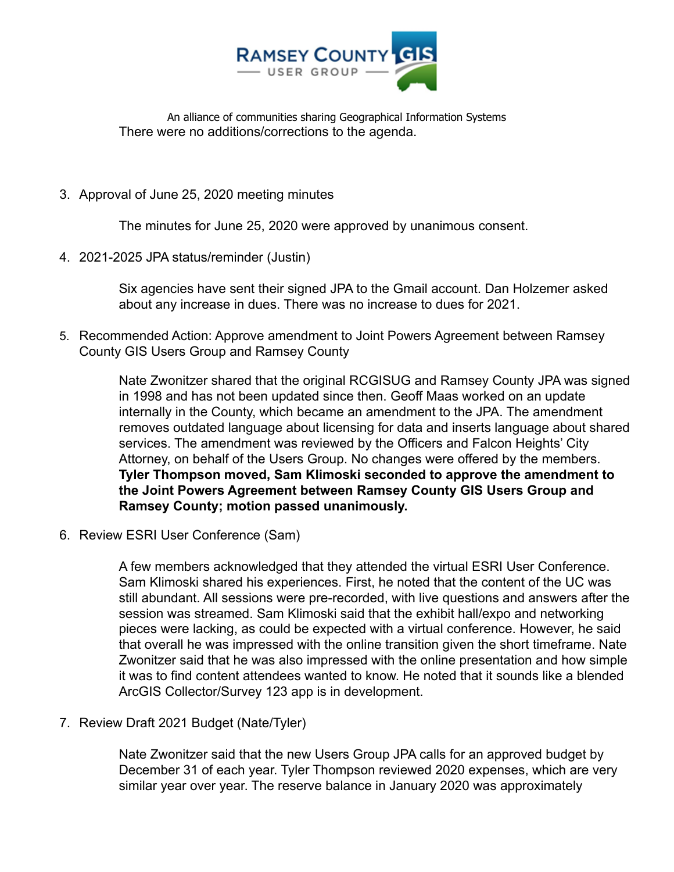

An alliance of communities sharing Geographical Information Systems There were no additions/corrections to the agenda.

3. Approval of June 25, 2020 meeting minutes

The minutes for June 25, 2020 were approved by unanimous consent.

4. 2021-2025 JPA status/reminder (Justin)

Six agencies have sent their signed JPA to the Gmail account. Dan Holzemer asked about any increase in dues. There was no increase to dues for 2021.

5. Recommended Action: Approve amendment to Joint Powers Agreement between Ramsey County GIS Users Group and Ramsey County

> Nate Zwonitzer shared that the original RCGISUG and Ramsey County JPA was signed in 1998 and has not been updated since then. Geoff Maas worked on an update internally in the County, which became an amendment to the JPA. The amendment removes outdated language about licensing for data and inserts language about shared services. The amendment was reviewed by the Officers and Falcon Heights' City Attorney, on behalf of the Users Group. No changes were offered by the members. **Tyler Thompson moved, Sam Klimoski seconded to approve the amendment to the Joint Powers Agreement between Ramsey County GIS Users Group and Ramsey County; motion passed unanimously.**

6. Review ESRI User Conference (Sam)

A few members acknowledged that they attended the virtual ESRI User Conference. Sam Klimoski shared his experiences. First, he noted that the content of the UC was still abundant. All sessions were pre-recorded, with live questions and answers after the session was streamed. Sam Klimoski said that the exhibit hall/expo and networking pieces were lacking, as could be expected with a virtual conference. However, he said that overall he was impressed with the online transition given the short timeframe. Nate Zwonitzer said that he was also impressed with the online presentation and how simple it was to find content attendees wanted to know. He noted that it sounds like a blended ArcGIS Collector/Survey 123 app is in development.

7. Review Draft 2021 Budget (Nate/Tyler)

Nate Zwonitzer said that the new Users Group JPA calls for an approved budget by December 31 of each year. Tyler Thompson reviewed 2020 expenses, which are very similar year over year. The reserve balance in January 2020 was approximately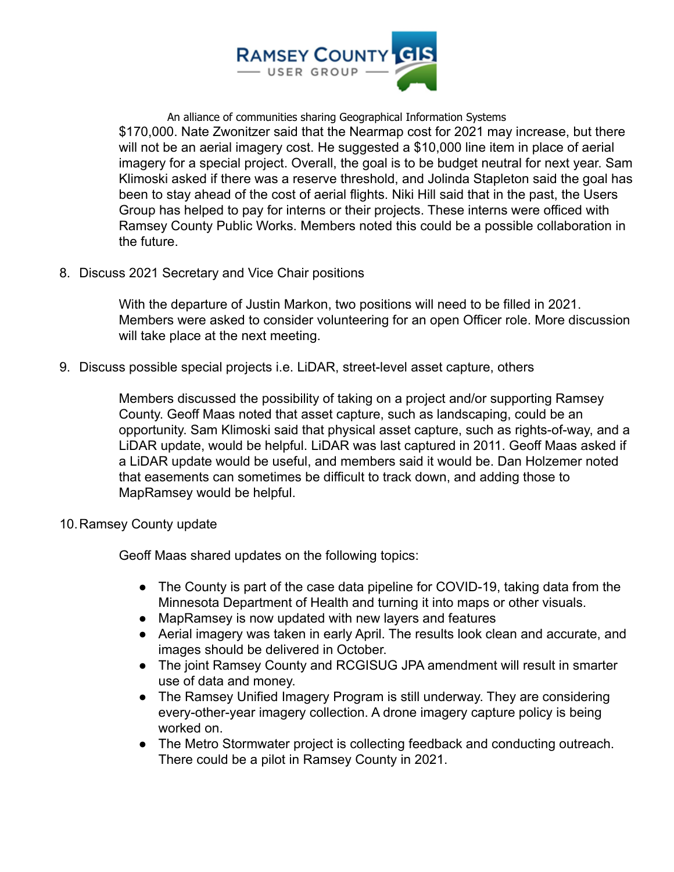

An alliance of communities sharing Geographical Information Systems \$170,000. Nate Zwonitzer said that the Nearmap cost for 2021 may increase, but there will not be an aerial imagery cost. He suggested a \$10,000 line item in place of aerial imagery for a special project. Overall, the goal is to be budget neutral for next year. Sam Klimoski asked if there was a reserve threshold, and Jolinda Stapleton said the goal has been to stay ahead of the cost of aerial flights. Niki Hill said that in the past, the Users Group has helped to pay for interns or their projects. These interns were officed with Ramsey County Public Works. Members noted this could be a possible collaboration in the future.

8. Discuss 2021 Secretary and Vice Chair positions

With the departure of Justin Markon, two positions will need to be filled in 2021. Members were asked to consider volunteering for an open Officer role. More discussion will take place at the next meeting.

9. Discuss possible special projects i.e. LiDAR, street-level asset capture, others

Members discussed the possibility of taking on a project and/or supporting Ramsey County. Geoff Maas noted that asset capture, such as landscaping, could be an opportunity. Sam Klimoski said that physical asset capture, such as rights-of-way, and a LiDAR update, would be helpful. LiDAR was last captured in 2011. Geoff Maas asked if a LiDAR update would be useful, and members said it would be. Dan Holzemer noted that easements can sometimes be difficult to track down, and adding those to MapRamsey would be helpful.

10.Ramsey County update

Geoff Maas shared updates on the following topics:

- The County is part of the case data pipeline for COVID-19, taking data from the Minnesota Department of Health and turning it into maps or other visuals.
- MapRamsey is now updated with new layers and features
- Aerial imagery was taken in early April. The results look clean and accurate, and images should be delivered in October.
- The joint Ramsey County and RCGISUG JPA amendment will result in smarter use of data and money.
- The Ramsey Unified Imagery Program is still underway. They are considering every-other-year imagery collection. A drone imagery capture policy is being worked on.
- The Metro Stormwater project is collecting feedback and conducting outreach. There could be a pilot in Ramsey County in 2021.